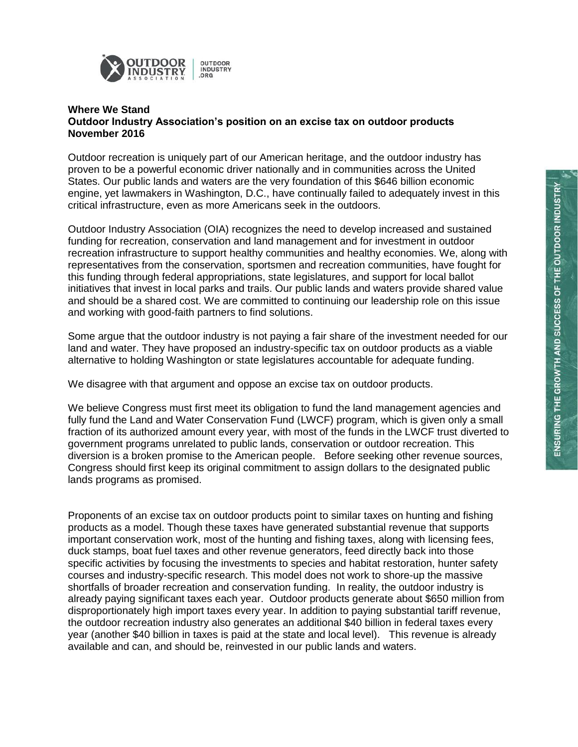

## **Where We Stand Outdoor Industry Association's position on an excise tax on outdoor products November 2016**

Outdoor recreation is uniquely part of our American heritage, and the outdoor industry has proven to be a powerful economic driver nationally and in communities across the United States. Our public lands and waters are the very foundation of this \$646 billion economic engine, yet lawmakers in Washington, D.C., have continually failed to adequately invest in this critical infrastructure, even as more Americans seek in the outdoors.

Outdoor Industry Association (OIA) recognizes the need to develop increased and sustained funding for recreation, conservation and land management and for investment in outdoor recreation infrastructure to support healthy communities and healthy economies. We, along with representatives from the conservation, sportsmen and recreation communities, have fought for this funding through federal appropriations, state legislatures, and support for local ballot initiatives that invest in local parks and trails. Our public lands and waters provide shared value and should be a shared cost. We are committed to continuing our leadership role on this issue and working with good-faith partners to find solutions.

Some argue that the outdoor industry is not paying a fair share of the investment needed for our land and water. They have proposed an industry-specific tax on outdoor products as a viable alternative to holding Washington or state legislatures accountable for adequate funding.

We disagree with that argument and oppose an excise tax on outdoor products.

We believe Congress must first meet its obligation to fund the land management agencies and fully fund the Land and Water Conservation Fund (LWCF) program, which is given only a small fraction of its authorized amount every year, with most of the funds in the LWCF trust diverted to government programs unrelated to public lands, conservation or outdoor recreation. This diversion is a broken promise to the American people. Before seeking other revenue sources, Congress should first keep its original commitment to assign dollars to the designated public lands programs as promised.

Proponents of an excise tax on outdoor products point to similar taxes on hunting and fishing products as a model. Though these taxes have generated substantial revenue that supports important conservation work, most of the hunting and fishing taxes, along with licensing fees, duck stamps, boat fuel taxes and other revenue generators, feed directly back into those specific activities by focusing the investments to species and habitat restoration, hunter safety courses and industry-specific research. This model does not work to shore-up the massive shortfalls of broader recreation and conservation funding. In reality, the outdoor industry is already paying significant taxes each year. Outdoor products generate about \$650 million from disproportionately high import taxes every year. In addition to paying substantial tariff revenue, the outdoor recreation industry also generates an additional \$40 billion in federal taxes every year (another \$40 billion in taxes is paid at the state and local level). This revenue is already available and can, and should be, reinvested in our public lands and waters.